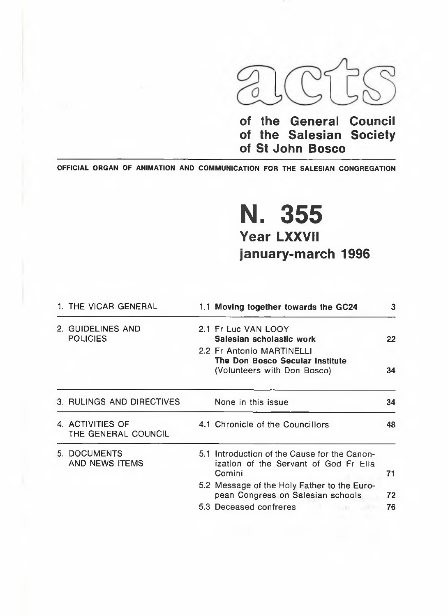

**of the General Council of the Salesian Society of St John Bosco**

OFFICIAL ORGAN OF ANIMATION AND COMMUNICATION FOR THE SALESIAN CONGREGATION

# N. 355 **Year LXXVII** january-march 1996

|  | 1. THE VICAR GENERAL                    | 1.1 Moving together towards the GC24                                                            | 3  |
|--|-----------------------------------------|-------------------------------------------------------------------------------------------------|----|
|  | 2. GUIDELINES AND<br><b>POLICIES</b>    | 2.1 Fr Luc VAN LOOY<br>Salesian scholastic work                                                 | 22 |
|  |                                         | 2.2 Fr Antonio MARTINELLI<br>The Don Bosco Secular Institute<br>(Volunteers with Don Bosco)     | 34 |
|  | 3. RULINGS AND DIRECTIVES               | None in this issue                                                                              | 34 |
|  | 4. ACTIVITIES OF<br>THE GENERAL COUNCIL | 4.1 Chronicle of the Councillors                                                                | 48 |
|  | 5. DOCUMENTS<br>AND NEWS ITEMS          | 5.1 Introduction of the Cause for the Canon-<br>ization of the Servant of God Fr Elia<br>Comini | 71 |
|  |                                         | 5.2 Message of the Holy Father to the Euro-<br>pean Congress on Salesian schools                | 72 |
|  |                                         | 5.3 Deceased confreres                                                                          | 76 |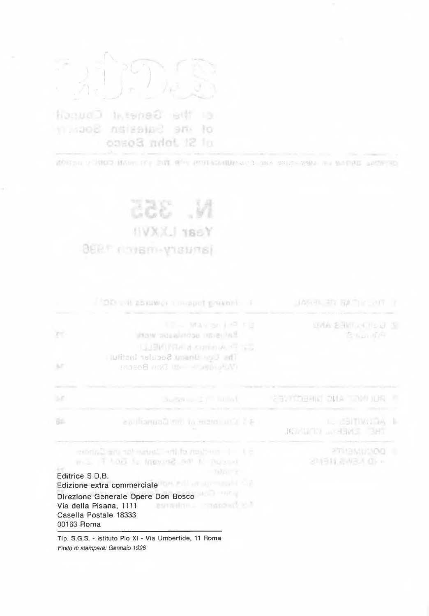$\widehat{\mathcal{T}}$ 

G the Genezi Council of ine Salesian Socioly obset and 12 In

WODER Y BURG IN AND THE REPORT OF STANDARD OR AN INC. WE ARRESTED

# N. 355 **IIVXX.I TBSY** janusry-mann-1936

|            | 20 abstract mospot privant T                                                                                                                                                                                                                                                                                 | LAG PLETE BATTLE OF THE                            |
|------------|--------------------------------------------------------------------------------------------------------------------------------------------------------------------------------------------------------------------------------------------------------------------------------------------------------------|----------------------------------------------------|
| ĸ          | <b>ERROR MAUSE LIREDE</b><br><b>Saturdan sceniarios vicini</b><br><b>TELENTRA &amp; CONTINUES</b><br>The Correlation Secular lastitul                                                                                                                                                                        | <b>UVA SAVI A PLU 1</b><br><b>Britan IDR</b>       |
| 34         | fobee8 noG ID - - sumpleMr                                                                                                                                                                                                                                                                                   |                                                    |
| 147        | Suddivision I in which the                                                                                                                                                                                                                                                                                   | <b>CONTROLLING ONE CONTROL</b>                     |
| 面          | 45 City order of the Gourant and                                                                                                                                                                                                                                                                             | <b>IL CENTIVITOR I</b><br><b>TRE ENERGY WANTED</b> |
| 00163 Roma | Si le condition di hautan dan ing Earnman<br>but the Server is Golf in the 11<br><b>STATISTICS</b><br>Editrice S.D.B.<br>Edizione extra commerciale ISM Fill and Constitution<br>Direzione Generale Opere Don Bosco<br>Via della Pisana, 1111 <b>Controlleri della Pisana, 1111</b><br>Casella Postale 18333 | <b>PTILEMENT REPORT</b><br>2개311.8W3시 마 m          |
|            | Tip. S.G.S. - istituto Pio XI - Via Umbertide, 11 Roma<br>Finito di stampare: Gennaio 1996                                                                                                                                                                                                                   |                                                    |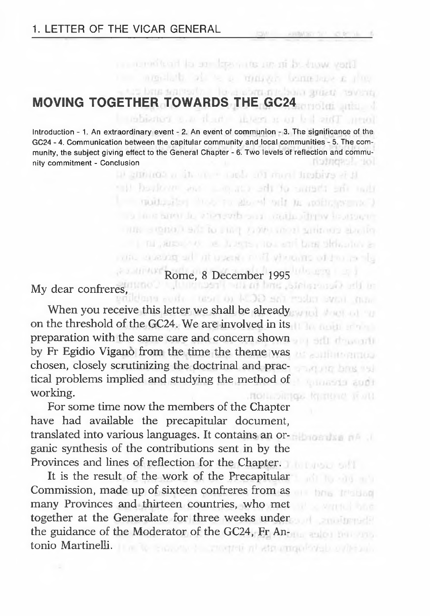## supported that contains the contact of the and cut-**MOVING TOGETHER TOWARDS THE GC24**

Introduction - 1. An extraordinary event - 2. An event of communion - 3. The significance of the GC24 - 4. Communication between the capitular community and local communities - 5. The community, the subject giving effect to the General Chapter - 6. Two levels of reflection and community commitment - Conclusion ristness to

They want it is an also address to have varily

mention of the masses being base a ring

ing This is that the state in a consider

it is exident loved and slow in this is donoted in had beebore you allow as adi to surget an unit moltoplay most realized out an appropriate a the line area to a tensorb one control drive to move. THE SIGNAD SATIO FIRE A WALLAST WHENCE SPATIST The Automotive Research and Law Shoulders ale encode an out then seen in the process and

Rome, 8 December 1995

and trave ruler the GCM to heat their

though the pa us sulfilitorinua startung box sul **Autosota audit** 

ort znoumeli

My dear confreres,

When you receive this letter we shall be already on the threshold of the GC24. We are involved in its preparation with the same care and concern shown by Fr Egidio Vigano from the time the theme was chosen, closely scrutinizing the doctrinal and practical problems implied and studying the method of working. **ROLL-DIMGS**, KNITHAIR WORL

For some time now the members of the Chapter have had available the precapitular document, translated into various languages. It contains an organic synthesis of the contributions sent in by the Provinces and lines of reflection for the Chapter.

It is the result of the work of the Precapitular Commission, made up of sixteen confreres from as many Provinces and thirteen countries, who met together at the Generalate for three weeks under the guidance of the Moderator of the GC24, Fr Antonio Martinelli. In a la seconda a congreti al strumquisvelo a desario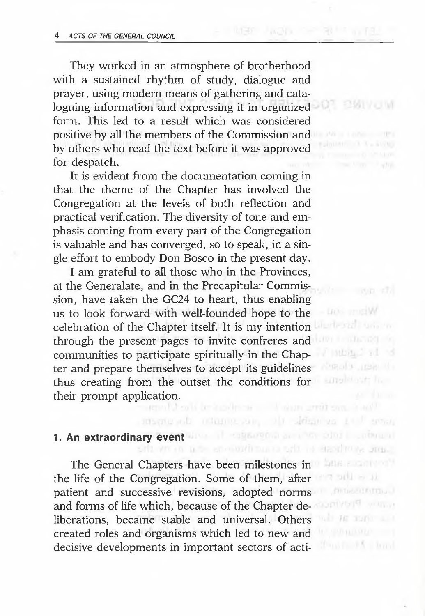They worked in an atmosphere of brotherhood with a sustained rhythm of study, dialogue and prayer, using modern means of gathering and cata-XOT EMIYOM

loguing information and expressing it in organized form. This led to a result which was considered positive by all the members of the Commission and by others who read the text before it was approved for despatch.

It is evident from the documentation coming in that the theme of the Chapter has involved the Congregation at the levels of both reflection and practical verification. The diversity of tone and emphasis coming from every part of the Congregation is valuable and has converged, so to speak, in a single effort to embody Don Bosco in the present day.

I am grateful to all those who in the Provinces, at the Generalate, and in the Precapitular Commission, have taken the GC24 to heart, thus enabling us to look forward with well-founded hope to the celebration of the Chapter itself. It is my intention through the present pages to invite confreres and communities to participate spiritually in the Chapter and prepare themselves to accept its guidelines thus creating from the outset the conditions for their prompt application.<br>
1999 - The State of the State of the State of the State of the State of the State of the State of the State of the State of the State of the State of the State of the State of the State of the St

## **1. An extraordinary event**

The General Chapters have been milestones in the life of the Congregation. Some of them, after patient and successive revisions, adopted norms and forms of life which, because of the Chapter deliberations, became stable and universal. Others created roles and organisms which led to new and decisive developments in important sectors of acti-

D.

 $-0.07 - 0.7$ 

LION PRINT forberal union

Finden Fil Area (a upe it) employee he

bels societive?  $7 - 01 = 11$ **Consecutivity** 

will an april.

Thus Find A. Lived

inspirated information, of definition to become

the amount the care of the stand trust origin.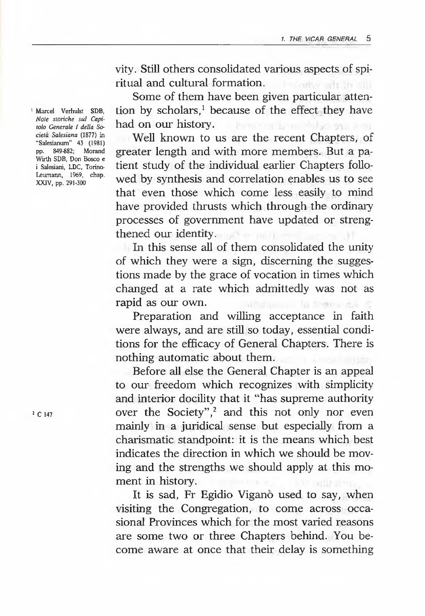vity. Still others consolidated various aspects of spiritual and cultural formation.

Some of them have been given particular attention by scholars,<sup>1</sup> because of the effect they have had on our history.

Well known to us are the recent Chapters, of greater length and with more members. But a patient study of the individual earlier Chapters followed by synthesis and correlation enables us to see that even those which come less easily to mind have provided thrusts which through the ordinary processes of government have updated or strengthened our identity.

In this sense all of them consolidated the unity of which they were a sign, discerning the suggestions made by the grace of vocation in times which changed at a rate which admittedly was not as rapid as our own. windows to these day

Preparation and willing acceptance in faith were always, and are still so today, essential conditions for the efficacy of General Chapters. There is nothing automatic about them.

Before all else the General Chapter is an appeal to our freedom which recognizes with simplicity and interior docility that it "has supreme authority over the Society",<sup>2</sup> and this not only nor even mainly in a juridical sense but especially from a charismatic standpoint: it is the means which best indicates the direction in which we should be moving and the strengths we should apply at this moment in history.

It is sad, Fr Egidio Viganò used to say, when visiting the Congregation, to come across occasional Provinces which for the most varied reasons are some two or three Chapters behind. You become aware at once that their delay is something

1 Marcel Verhulst SDB, *Note storiche sul Capitolo Generate I della Societa Salesiana* (1877) in "Saiesianum" 43 (1981) pp. 849-882; Morand Wirth SDB, Don Bosco e i Salesiani, LDC, Torino-Leumann, 1969, chap. XXIV, pp. 291-300

2 C 147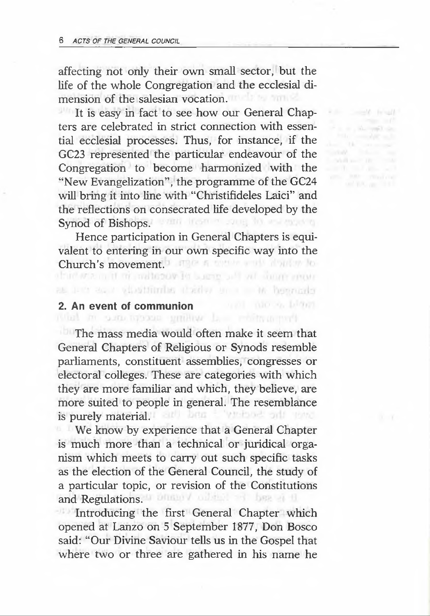affecting not only their own small sector, but the life of the whole Congregation and the ecclesial dimension of the salesian vocation.

> **Killis Contact Fringer**  $\label{eq:1} \begin{array}{ll} \displaystyle \frac{1}{\sqrt{2}}\left( \frac{1}{\sqrt{2}}\right) \left( \frac{1}{\sqrt{2}}\right) \left( \frac{1}{\sqrt{2}}\right) \left( \frac{1}{\sqrt{2}}\right) \left( \frac{1}{\sqrt{2}}\right) \left( \frac{1}{\sqrt{2}}\right) \left( \frac{1}{\sqrt{2}}\right) \left( \frac{1}{\sqrt{2}}\right) \left( \frac{1}{\sqrt{2}}\right) \left( \frac{1}{\sqrt{2}}\right) \left( \frac{1}{\sqrt{2}}\right) \left( \frac{1}{\sqrt{2}}\right) \$ and the community

It is easy in fact to see how our General Chapters are celebrated in strict connection with essential ecclesial processes. Thus, for instance, if the GC23 represented the particular endeavour of the Congregation to become harmonized with the "New Evangelization", the programme of the GC24 will bring it into line with "Christifideles Laici" and the reflections on consecrated life developed by the Synod of Bishops. With the complete and the

Hence participation in General Chapters is equivalent to entering in our own specific way into the Church's movement.<sup>1</sup> Figure 6 meters of about the

as lett as a visattimist there are a to beenade

# **2. An event of communion**

The mass media would often make it seem that General Chapters of Religious or Synods resemble parliaments, constituent assemblies, congresses or electoral colleges. These are categories with which they are more familiar and which, they believe, are more suited to people in general. The resemblance is purely material. The later in the set of the term

We know by experience that a General Chapter is much more than a technical or juridical organism which meets to carry out such specific tasks as the election of the General Council, the study of a particular topic, or revision of the Constitutions and Regulations. When I will be a line

Introducing the first General Chapter which opened at Lanzo on 5 September 1877, Don Bosco said: "Our Divine Saviour tells us in the Gospel that where two or three are gathered in his name he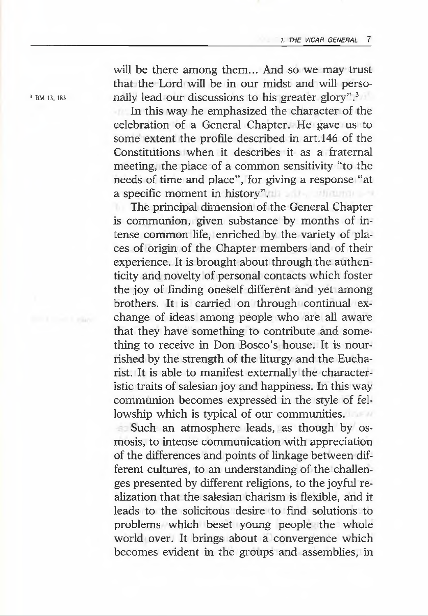will be there among them... And so we may trust that the Lord will be in our midst and will perso-<sup>3</sup> BM 13, 183 nally lead our discussions to his greater glory".<sup>3</sup>

> In this way he emphasized the character of the celebration of a General Chapter. He gave us to some extent the profile described in art. 146 of the Constitutions when it describes it as a fraternal meeting, the place of a common sensitivity "to the needs of time and place", for giving a response "at a specific moment in history".

> The principal dimension of the General Chapter is communion, given substance by months of intense common life, enriched by the variety of places of origin of the Chapter members and of their experience. It is brought about through the authenticity and novelty of personal contacts which foster the joy of finding oneself different and yet among brothers. It is carried on through continual exchange of ideas among people who are all aware that they have something to contribute and something to receive in Don Bosco's house. It is nourrished by the strength of the liturgy and the Eucharist. It is able to manifest externally the characteristic traits of salesian joy and happiness. In this way communion becomes expressed in the style of fellowship which is typical of our communities.

> Such an atmosphere leads, as though by osmosis, to intense communication with appreciation of the differences and points of linkage between different cultures, to an understanding of the challenges presented by different religions, to the joyful realization that the salesian charism is flexible, and it leads to the solicitous desire to find solutions to problems which beset young people the whole world over. It brings about a convergence which becomes evident in the groups and assemblies, in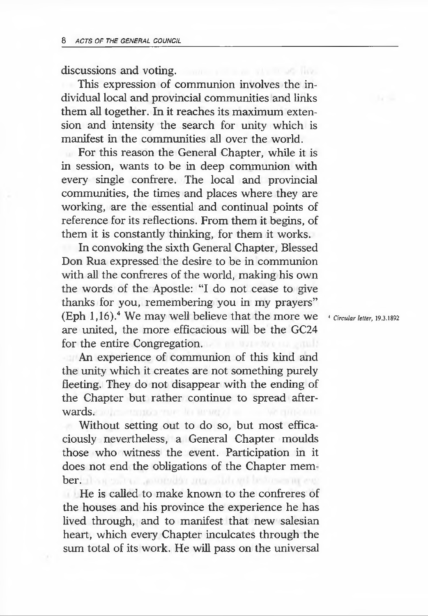#### discussions and voting.

This expression of communion involves the individual local and provincial communities and links them all together. In it reaches its maximum extension and intensity the search for unity which is manifest in the communities all over the world.

For this reason the General Chapter, while it is in session, wants to be in deep communion with every single confrere. The local and provincial communities, the times and places where they are working, are the essential and continual points of reference for its reflections. From them it begins, of them it is constantly thinking, for them it works.

In convoking the sixth General Chapter, Blessed Don Rua expressed the desire to be in communion with all the confreres of the world, making his own the words of the Apostle: "I do not cease to give thanks for you, remembering you in my prayers" (Eph  $1.16$ ).<sup>4</sup> We may well believe that the more we are united, the more efficacious will be the GC24 for the entire Congregation.

An experience of communion of this kind and the unity which it creates are not something purely fleeting. They do not disappear with the ending of the Chapter but rather continue to spread afterwards.com/commission.com/commission.com/commission.com/commission.com/commission.com/commission.com/

Without setting out to do so, but most efficaciously nevertheless, a General Chapter moulds those who witness the event. Participation in it does not end the obligations of the Chapter member. Than so the government manufactured before an ene

He is called to make known to the confreres of the houses and his province the experience he has lived through, and to manifest that new salesian heart, which every Chapter inculcates through the sum total of its work. He will pass on the universal

4 *Circular letter,* 19.3.1892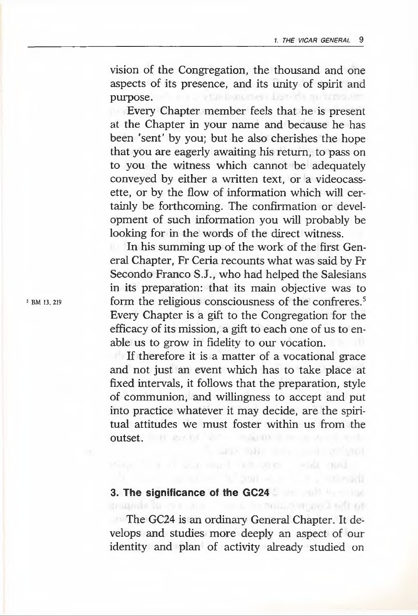vision of the Congregation, the thousand and one aspects of its presence, and its unity of spirit and purpose. We are a standard cross a bare da an arrasocia-

Every Chapter member feels that he is present at the Chapter in your name and because he has been 'sent' by you; but he also cherishes the hope that you are eagerly awaiting his return, to pass on to you the witness which cannot be adequately conveyed by either a written text, or a videocassette, or by the flow of information which will certainly be forthcoming. The confirmation or development of such information you will probably be looking for in the words of the direct witness.

In his summing up of the work of the first General Chapter, Fr Ceria recounts what was said by Fr Secondo Franco S.J., who had helped the Salesians in its preparation: that its main objective was to form the religious consciousness of the confreres.<sup>5</sup> Every Chapter is a gift to the Congregation for the efficacy of its mission, a gift to each one of us to enable us to grow in fidelity to our vocation.

If therefore it is a matter of a vocational grace and not just an event which has to take place at fixed intervals, it follows that the preparation, style of communion, and willingness to accept and put into practice whatever it may decide, are the spiritual attitudes we must foster within us from the outset.

and commercial contact created

### **3. The significance of the GC24** grappide for mix and community massive myper-liked not

The GC24 is an ordinary General Chapter. It develops and studies more deeply an aspect of our identity and plan of activity already studied on

5 BM 13, 219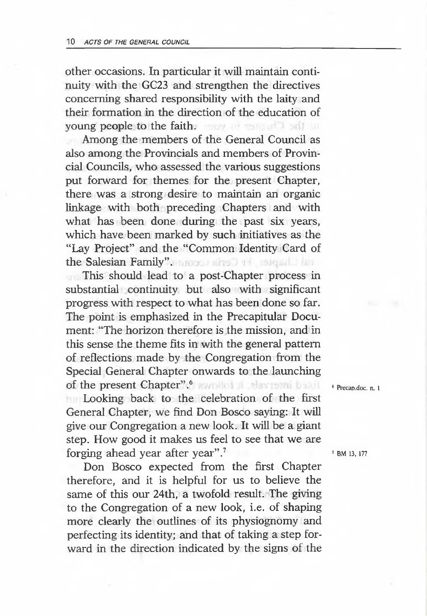other occasions. In particular it will maintain continuity with the GC23 and strengthen the directives concerning shared responsibility with the laity and their formation in the direction of the education of young people to the faith.

Among the members of the General Council as also among the Provincials and members of Provincial Councils, who assessed the various suggestions put forward for themes for the present Chapter, there was a strong desire to maintain an organic linkage with both preceding Chapters and with what has been done during the past six years, which have been marked by such initiatives as the "Lay Project" and the "Common Identity Card of the Salesian Family". **Motor airs Dark Motor Library** 

This should lead to a post-Chapter process in substantial continuity but also with significant progress with respect to what has been done so far. The point is emphasized in the Precapitular Document: "The horizon therefore is the mission, and in this sense the theme fits in with the general pattern of reflections made by the Congregation from the Special General Chapter onwards to the launching of the present Chapter".6

Looking back to the celebration of the first General Chapter, we find Don Bosco saying: It will give our Congregation a new look. It will be a giant step. How good it makes us feel to see that we are forging ahead year after year".7

Don Bosco expected from the first Chapter therefore, and it is helpful for us to believe the same of this our 24th, a twofold result. The giving to the Congregation of a new look, i.e. of shaping more clearly the outlines of its physiognomy and perfecting its identity; and that of taking a step forward in the direction indicated by the signs of the 6 Precap.doc. n. 1

7 BM 13, 177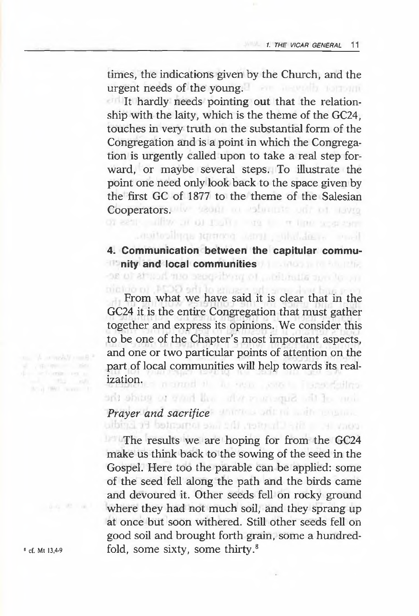times, the indications given by the Church, and the urgent needs of the young.

It hardly needs pointing out that the relationship with the laity, which is the theme of the GC24, touches in very truth on the substantial form of the Congregation and is a point in which the Congregation is urgently called upon to take a real step forward, or maybe several steps. To illustrate the point one need only look back to the space given by the first GC of 1877 to the theme of the Salesian Cooperators. We would be educate on our country

## **4. Communication between the capitular community and local communities**

Face and about tension prompt application.

From what we have said it is clear that in the GC24 it is the entire Congregation that must gather together and express its opinions. We consider this to be one of the Chapter's most important aspects, and one or two particular points of attention on the part of local communities will help towards its realization. manuel it. As you, says a financiality

arfl abitra 01 ov! ri pi/ ri *u* • ■ que: it *V, ■ «* ;.

# *Prayer and sacrifice*

The results we are hoping for from the GC24 make us think back to the sowing of the seed in the Gospel. Here too the parable can be applied: some of the seed fell along the path and the birds came and devoured it. Other seeds fell on rocky ground where they had not much soil, and they sprang up at once but soon withered. Still other seeds fell on good soil and brought forth grain, some a hundred- $^8$  cf. Mt 13,4-9 fold, some sixty, some thirty.<sup>8</sup>

 $\begin{array}{ccc} &\text{if } &\text{if } &\text{if } \\ \text{if } &\text{if } &\text{if } \\ &\text{if } &\text{if } \\ \text{if } &\text{if } &\text{if } \end{array}$ the at 1997, manner of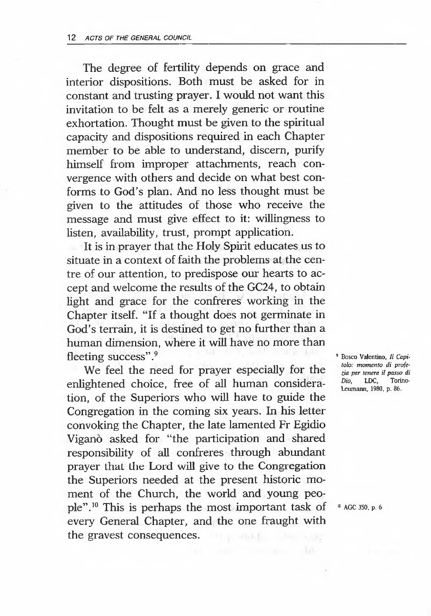The degree of fertility depends on grace and interior dispositions. Both must be asked for in constant and trusting prayer. I would not want this invitation to be felt as a merely generic or routine exhortation. Thought must be given to the spiritual capacity and dispositions required in each Chapter member to be able to understand, discern, purify himself from improper attachments, reach convergence with others and decide on what best conforms to God's plan. And no less thought must be given to the attitudes of those who receive the message and must give effect to it: willingness to listen, availability, trust, prompt application.

It is in prayer that the Holy Spirit educates us to situate in a context of faith the problems at the centre of our attention, to predispose our hearts to accept and welcome the results of the GC24, to obtain light and grace for the confreres working in the Chapter itself. "If a thought does not germinate in God's terrain, it is destined to get no further than a human dimension, where it will have no more than fleeting success".<sup>9</sup>

We feel the need for prayer especially for the enlightened choice, free of all human consideration, of the Superiors who will have to guide the Congregation in the coming six years. In his letter convoking the Chapter, the late lamented Fr Egidio Vigano asked for "the participation and shared responsibility of all confreres through abundant prayer that Lhe Lord will give to the Congregation the Superiors needed at the present historic moment of the Church, the world and young people".10 This is perhaps the most important task of every General Chapter, and the one fraught with the gravest consequences.

9 Bosco Valentino, *II Capitolo: momento di profezia per tenere il passo di Dio*, LDC, Leumann, 1980, p. 86.

10 AGC 350, p. 6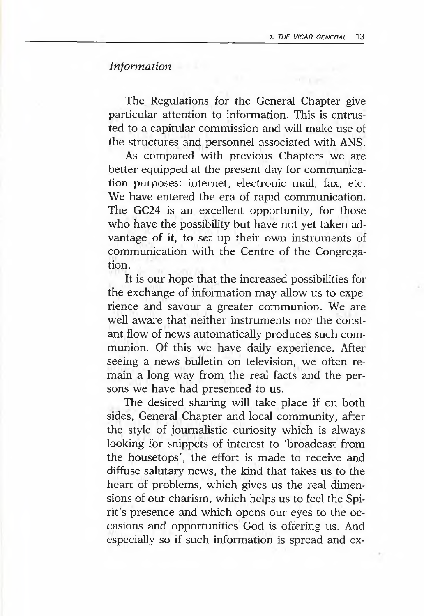#### *Information*

The Regulations for the General Chapter give particular attention to information. This is entrusted to a capitular commission and will make use of the structures and personnel associated with ANS.

As compared with previous Chapters we are better equipped at the present day for communication purposes: internet, electronic mail, fax, etc. We have entered the era of rapid communication. The GC24 is an excellent opportunity, for those who have the possibility but have not yet taken advantage of it, to set up their own instruments of communication with the Centre of the Congregation.

It is our hope that the increased possibilities for the exchange of information may allow us to experience and savour a greater communion. We are well aware that neither instruments nor the constant flow of news automatically produces such communion. Of this we have daily experience. After seeing a news bulletin on television, we often remain a long way from the real facts and the persons we have had presented to us.

The desired sharing will take place if on both sides, General Chapter and local community, after the style of journalistic curiosity which is always looking for snippets of interest to 'broadcast from the housetops', the effort is made to receive and diffuse salutary news, the kind that takes us to the heart of problems, which gives us the real dimensions of our charism, which helps us to feel the Spirit's presence and which opens our eyes to the occasions and opportunities God is offering us. And especially so if such information is spread and ex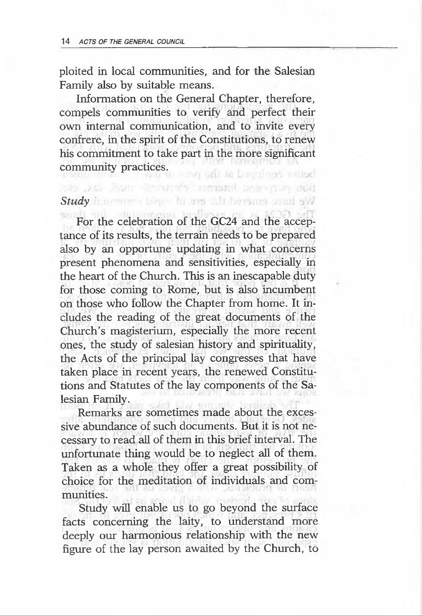ploited in local communities, and for the Salesian Family also by suitable means.

Information on the General Chapter, therefore, compels communities to verify and perfect their own internal communication, and to invite every confrere, in the spirit of the Constitutions, to renew his commitment to take part in the more significant community practices. - Part and the Language restact

tion and during the production and and did

#### Study Incommon bigger for me said beyones could sW

For the celebration of the GC24 and the acceptance of its results, the terrain needs to be prepared also by an opportune updating in what concerns present phenomena and sensitivities, especially in the heart of the Church. This is an inescapable duty for those coming to Rome, but is also incumbent on those who follow the Chapter from home. It includes the reading of the great documents of the Church's magisterium, especially the more recent ones, the study of salesian history and spirituality, the Acts of the principal lay congresses that have taken place in recent years, the renewed Constitutions and Statutes of the lay components of the Salesian Family.

Remarks are sometimes made about the excessive abundance of such documents. But it is not necessary to read all of them in this brief interval. The unfortunate thing would be to neglect all of them. Taken as a whole they offer a great possibility of choice for the meditation of individuals and communities.

Study will enable us to go beyond the surface facts concerning the laity, to understand more deeply our harmonious relationship with the new figure of the lay person awaited by the Church, to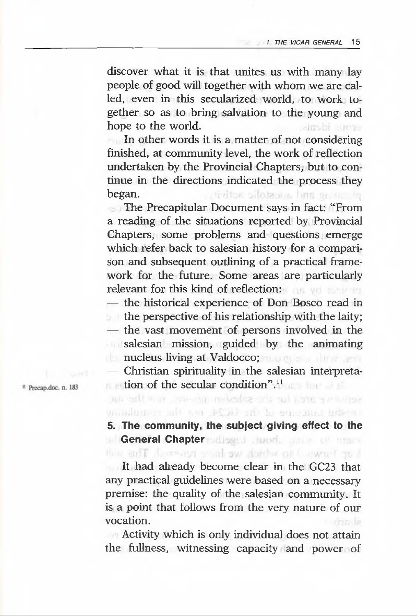discover what it is that unites us with many lay people of good will together with whom we are called, even in this secularized world, to work together so as to bring salvation to the young and hope to the world. alusbi anne

In other words it is a matter of not considering finished, at community level, the work of reflection undertaken by the Provincial Chapters, but to continue in the directions indicated the process they began. tivitor silatzam has a milla

The Precapitular Document says in fact: "From a reading of the situations reported by Provincial Chapters, some problems and questions emerge which refer back to salesian history for a comparison and subsequent outlining of a practical framework for the future. Some areas are particularly relevant for this kind of reflection:

— the historical experience of Don Bosco read in

 $\Box$  the perspective of his relationship with the laity;

— the vast movement of persons involved in the salesian mission, guided by the animating **nucleus living at Valdocco; and The Property Assembly** 

— Christian spirituality in the salesian interpretation of the secular condition".<sup>11</sup> an oritment, on-our missing-orizont syncornerse

<sup>11</sup> Precap.doc. n. 183

#### modulated and an ACOO and to emount informa-**5. The community, the subject giving effect to the General Chapter** polisers about a state of the co like forward to which we have remain The will

It had already become clear in the GC23 that any practical guidelines were based on a necessary premise: the quality of the salesian community. It is a point that follows from the very nature of our vocation. rental la

Activity which is only individual does not attain the fullness, witnessing capacity and power of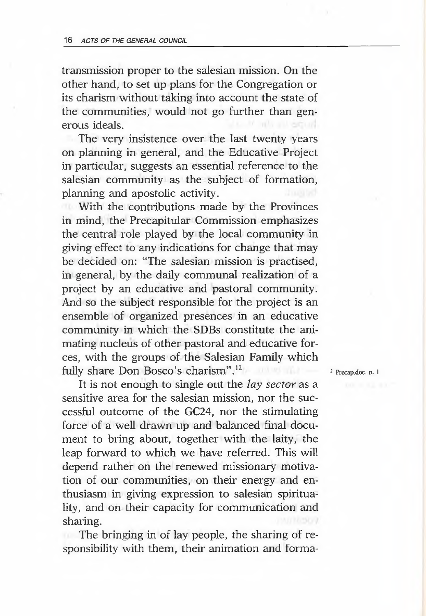transmission proper to the salesian mission. On the other hand, to set up plans for the Congregation or its charism without taking into account the state of the communities, would not go further than generous ideals.

The very insistence over the last twenty years on planning in general, and the Educative Project in particular, suggests an essential reference to the salesian community as the subject of formation, planning and apostolic activity.

With the contributions made by the Provinces in mind, the Precapitular Commission emphasizes the central role played by the local community in giving effect to any indications for change that may be decided on: "The salesian mission is practised, in general, by the daily communal realization of a project by an educative and pastoral community. And so the subject responsible for the project is an ensemble of organized presences in an educative community in which the SDBs constitute the animating nucleus of other pastoral and educative forces, with the groups of the Salesian Family which fully share Don Bosco's charism".12

It is not enough to single out the *lay sector* as a sensitive area for the salesian mission, nor the successful outcome of the GC24, nor the stimulating force of a well drawn up and balanced final document to bring about, together with the laity, the leap forward to which we have referred. This will depend rather on the renewed missionary motivation of our communities, on their energy and enthusiasm in giving expression to salesian spirituality, and on their capacity for communication and sharing.

The bringing in of lay people, the sharing of responsibility with them, their animation and forma<sup>12</sup> Precap.doc. n. 1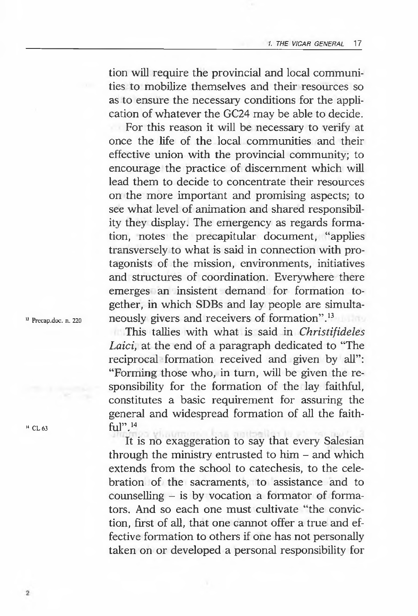tion will require the provincial and local communities to mobilize themselves and their resources so as to ensure the necessary conditions for the application of whatever the GC24 may be able to decide.

For this reason it will be necessary to verify at once the life of the local communities and their effective union with the provincial community; to encourage the practice of discernment which will lead them to decide to concentrate their resources on the more important and promising aspects; to see what level of animation and shared responsibility they display. The emergency as regards formation, notes the precapitular document, "applies transversely to what is said in connection with protagonists of the mission, environments, initiatives and structures of coordination. Everywhere there emerges an insistent demand for formation together, in which SDBs and lay people are simulta-<sup>13</sup> Precap.doc. n. 220 neously givers and receivers of formation".<sup>13</sup>

This tallies with what is said in *Christifideles Laid,* at the end of a paragraph dedicated to "The reciprocal formation received and given by all": "Forming those who, in turn, will be given the responsibility for the formation of the lay faithful, constitutes a basic requirement for assuring the general and widespread formation of all the faith- $14$  CL 63 ful<sup>"</sup>.<sup>14</sup>

It is no exaggeration to say that every Salesian through the ministry entrusted to him - and which extends from the school to catechesis, to the celebration of the sacraments, to assistance and to counselling  $-$  is by vocation a formator of formators. And so each one must cultivate "the conviction, first of all, that one cannot offer a true and effective formation to others if one has not personally taken on or developed a personal responsibility for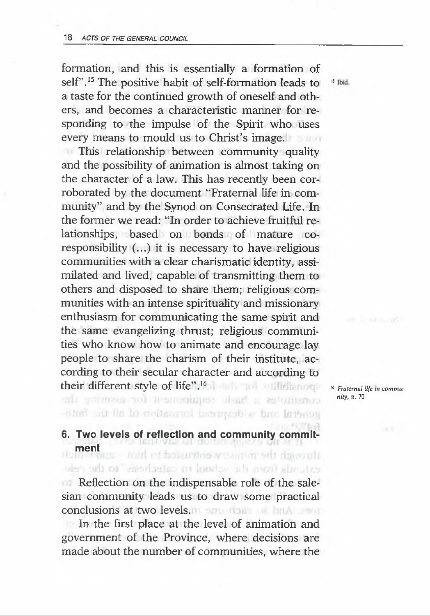formation, and this is essentially a formation of self".<sup>15</sup> The positive habit of self-formation leads to <sup>15</sup> Tbid. a taste for the continued growth of oneself and others, and becomes a characteristic manner for responding to the impulse of the Spirit who uses every means to mould us to Christ's image.

This relationship between community quality and the possibility of animation is almost taking on the character of a law. This has recently been corroborated by the document "Fraternal life in community" and by the Synod on Consecrated Life. In the former we read: "In order to achieve fruitful relationships, based on bonds of mature coresponsibility (...) it is necessary to have religious communities with a clear charismatic identity, assimilated and lived, capable of transmitting them to others and disposed to share them; religious communities with an intense spirituality and missionary enthusiasm for communicating the same spirit and the same evangelizing thrust; religious communities who know how to animate and encourage lay people to share the charism of their institute, according to their secular character and according to their different style of life".<sup>16</sup> **A** and **and a millichanged** *we Fratemal life in commu-*

*nity,* n. 70

-ritial sur lis to mottenmed beautists w but features

## **6. Two levels of reflection and community commit**ment<br>mesons - *tuid* of basershis within an off departi

eden odt or "eigoriadiss or londay als mort simplice

Reflection on the indispensable role of the salesian community leads us to draw some practical conclusions at two levels.

In the first place at the level of animation and government of the Province, where decisions are made about the number of communities, where the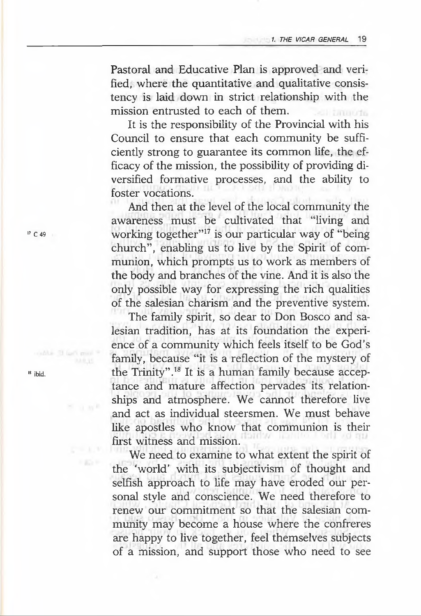Pastoral and Educative Plan is approved and verified, where the quantitative and qualitative consistency is laid down in strict relationship with the mission entrusted to each of them. **Emmons** 

It is the responsibility of the Provincial with his Council to ensure that each community be sufficiently strong to guarantee its common life, the efficacy of the mission, the possibility of providing diversified formative processes, and the ability to foster vocations.

And then at the level of the local community the awareness must be cultivated that "living and working together"<sup>17</sup> is our particular way of "being" church", enabling us to live by the Spirit of communion, which prompts us to work as members of the body and branches of the vine. And it is also the only possible way for expressing the rich qualities of the salesian charism and the preventive system.

The family spirit, so dear to Don Bosco and salesian tradition, has at its foundation the experience of a community which feels itself to be God's family, because "it is a reflection of the mystery of the Trinity".18 It is a human family because acceptance and mature affection pervades its relationships and atmosphere. We cannot therefore live and act as individual steersmen. We must behave like apostles who know that communion is their first witness and mission.

We need to examine to what extent the spirit of the 'world' with its subjectivism of thought and selfish approach to life may have eroded our personal style and conscience. We need therefore to renew our commitment so that the salesian community may become a house where the confreres are happy to live together, feel themselves subjects of a mission, and support those who need to see

17 C 49

18 ibid.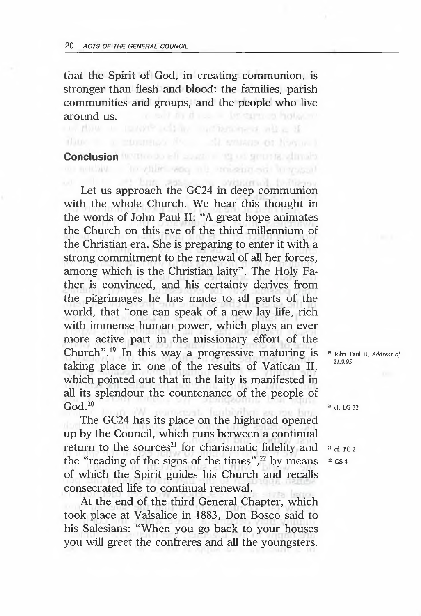that the Spirit of God, in creating communion, is stronger than flesh and blood: the families, parish communities and groups, and the people who live in with the thousand intermediate handscore around us. The contract of the contract of hole.

thus a mountain for all smoons or how and

# **Conclusion** (ICONCLUSION EN SURFACE IN THE SURFACE IN THE SURFACE IN THE SURFACE IN THE SURFACE IN THE SURFACE IN THE SURFACE IN THE SURFACE IN THE SURFACE IN THE SURFACE IN THE SURFACE IN THE SURFACE IN THE SURFACE IN TH

Let us approach the GC24 in deep communion with the whole Church. We hear this thought in the words of John Paul II: "A great hope animates the Church on this eve of the third millennium of the Christian era. She is preparing to enter it with a strong commitment to the renewal of all her forces, among which is the Christian laity". The Holy Father is convinced, and his certainty derives from the pilgrimages he has made to all parts of the world, that "one can speak of a new lay life, rich with immense human power, which plays an ever more active part in the missionary effort of the Church".19 In this way a progressive maturing is taking place in one of the results of Vatican II, which pointed out that in the laity is manifested in all its splendour the countenance of the people of  $God.<sup>20</sup>$ 

The GC24 has its place on the highroad opened up by the Council, which runs between a continual return to the sources<sup>21</sup> for charismatic fidelity and the "reading of the signs of the times", $22$  by means of which the Spirit guides his Church and recalls consecrated life to continual renewal.

At the end of the third General Chapter, which took place at Valsalice in 1883, Don Bosco said to his Salesians: "When you go back to your houses you will greet the confreres and all the youngsters.

19 John Paul II, *Address of 21.9.95*

<sup>20</sup> cf. LG 32

 $2!$  cf. PC 2

 $22$  GS 4